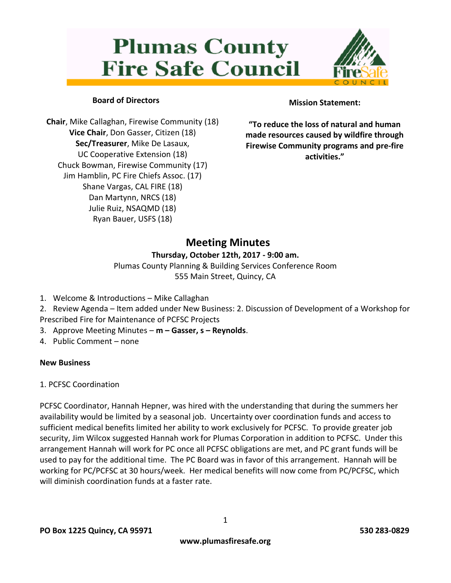# **Plumas County Fire Safe Council**



# **Board of Directors**

**Chair**, Mike Callaghan, Firewise Community (18) **Vice Chair**, Don Gasser, Citizen (18) **Sec/Treasurer**, Mike De Lasaux, UC Cooperative Extension (18) Chuck Bowman, Firewise Community (17) Jim Hamblin, PC Fire Chiefs Assoc. (17) Shane Vargas, CAL FIRE (18) Dan Martynn, NRCS (18) Julie Ruiz, NSAQMD (18) Ryan Bauer, USFS (18)

# **Mission Statement:**

**"To reduce the loss of natural and human made resources caused by wildfire through Firewise Community programs and pre-fire activities."**

# **Meeting Minutes**

# **Thursday, October 12th, 2017 - 9:00 am.**

Plumas County Planning & Building Services Conference Room 555 Main Street, Quincy, CA

- 1. Welcome & Introductions Mike Callaghan
- 2. Review Agenda Item added under New Business: 2. Discussion of Development of a Workshop for Prescribed Fire for Maintenance of PCFSC Projects
- 3. Approve Meeting Minutes **m – Gasser, s – Reynolds**.
- 4. Public Comment none

# **New Business**

1. PCFSC Coordination

PCFSC Coordinator, Hannah Hepner, was hired with the understanding that during the summers her availability would be limited by a seasonal job. Uncertainty over coordination funds and access to sufficient medical benefits limited her ability to work exclusively for PCFSC. To provide greater job security, Jim Wilcox suggested Hannah work for Plumas Corporation in addition to PCFSC. Under this arrangement Hannah will work for PC once all PCFSC obligations are met, and PC grant funds will be used to pay for the additional time. The PC Board was in favor of this arrangement. Hannah will be working for PC/PCFSC at 30 hours/week. Her medical benefits will now come from PC/PCFSC, which will diminish coordination funds at a faster rate.

1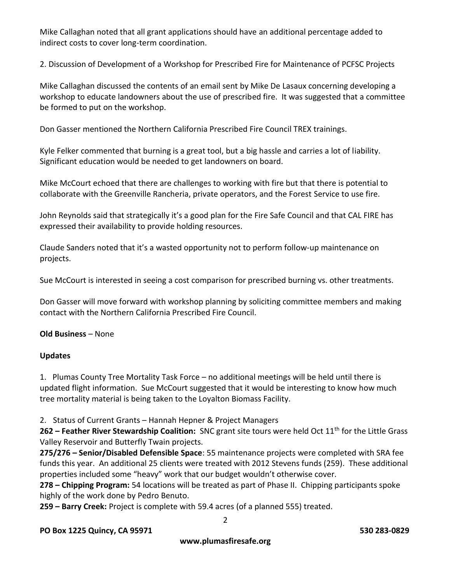Mike Callaghan noted that all grant applications should have an additional percentage added to indirect costs to cover long-term coordination.

2. Discussion of Development of a Workshop for Prescribed Fire for Maintenance of PCFSC Projects

Mike Callaghan discussed the contents of an email sent by Mike De Lasaux concerning developing a workshop to educate landowners about the use of prescribed fire. It was suggested that a committee be formed to put on the workshop.

Don Gasser mentioned the Northern California Prescribed Fire Council TREX trainings.

Kyle Felker commented that burning is a great tool, but a big hassle and carries a lot of liability. Significant education would be needed to get landowners on board.

Mike McCourt echoed that there are challenges to working with fire but that there is potential to collaborate with the Greenville Rancheria, private operators, and the Forest Service to use fire.

John Reynolds said that strategically it's a good plan for the Fire Safe Council and that CAL FIRE has expressed their availability to provide holding resources.

Claude Sanders noted that it's a wasted opportunity not to perform follow-up maintenance on projects.

Sue McCourt is interested in seeing a cost comparison for prescribed burning vs. other treatments.

Don Gasser will move forward with workshop planning by soliciting committee members and making contact with the Northern California Prescribed Fire Council.

# **Old Business** – None

#### **Updates**

1. Plumas County Tree Mortality Task Force – no additional meetings will be held until there is updated flight information. Sue McCourt suggested that it would be interesting to know how much tree mortality material is being taken to the Loyalton Biomass Facility.

2. Status of Current Grants – Hannah Hepner & Project Managers

**262 – Feather River Stewardship Coalition:** SNC grant site tours were held Oct 11<sup>th</sup> for the Little Grass Valley Reservoir and Butterfly Twain projects.

**275/276 – Senior/Disabled Defensible Space**: 55 maintenance projects were completed with SRA fee funds this year. An additional 25 clients were treated with 2012 Stevens funds (259). These additional properties included some "heavy" work that our budget wouldn't otherwise cover.

**278 – Chipping Program:** 54 locations will be treated as part of Phase II. Chipping participants spoke highly of the work done by Pedro Benuto.

**259 – Barry Creek:** Project is complete with 59.4 acres (of a planned 555) treated.

#### **PO Box 1225 Quincy, CA 95971 530 283-0829**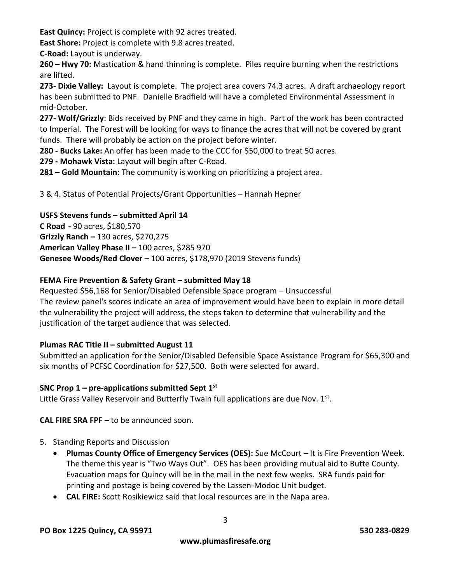**East Quincy:** Project is complete with 92 acres treated.

**East Shore:** Project is complete with 9.8 acres treated.

**C-Road:** Layout is underway.

**260 – Hwy 70:** Mastication & hand thinning is complete. Piles require burning when the restrictions are lifted.

**273- Dixie Valley:** Layout is complete. The project area covers 74.3 acres. A draft archaeology report has been submitted to PNF. Danielle Bradfield will have a completed Environmental Assessment in mid-October.

**277- Wolf/Grizzly**: Bids received by PNF and they came in high. Part of the work has been contracted to Imperial. The Forest will be looking for ways to finance the acres that will not be covered by grant funds. There will probably be action on the project before winter.

**280 - Bucks Lake:** An offer has been made to the CCC for \$50,000 to treat 50 acres.

**279 - Mohawk Vista:** Layout will begin after C-Road.

**281 – Gold Mountain:** The community is working on prioritizing a project area.

3 & 4. Status of Potential Projects/Grant Opportunities – Hannah Hepner

# **USFS Stevens funds – submitted April 14**

**C Road -** 90 acres, \$180,570 **Grizzly Ranch –** 130 acres, \$270,275 **American Valley Phase II –** 100 acres, \$285 970 **Genesee Woods/Red Clover –** 100 acres, \$178,970 (2019 Stevens funds)

# **FEMA Fire Prevention & Safety Grant – submitted May 18**

Requested \$56,168 for Senior/Disabled Defensible Space program – Unsuccessful The review panel's scores indicate an area of improvement would have been to explain in more detail the vulnerability the project will address, the steps taken to determine that vulnerability and the justification of the target audience that was selected.

# **Plumas RAC Title II – submitted August 11**

Submitted an application for the Senior/Disabled Defensible Space Assistance Program for \$65,300 and six months of PCFSC Coordination for \$27,500. Both were selected for award.

# **SNC Prop 1 – pre-applications submitted Sept 1st**

Little Grass Valley Reservoir and Butterfly Twain full applications are due Nov.  $1<sup>st</sup>$ .

**CAL FIRE SRA FPF –** to be announced soon.

- 5. Standing Reports and Discussion
	- **Plumas County Office of Emergency Services (OES):** Sue McCourt It is Fire Prevention Week. The theme this year is "Two Ways Out". OES has been providing mutual aid to Butte County. Evacuation maps for Quincy will be in the mail in the next few weeks. SRA funds paid for printing and postage is being covered by the Lassen-Modoc Unit budget.
	- **CAL FIRE:** Scott Rosikiewicz said that local resources are in the Napa area.